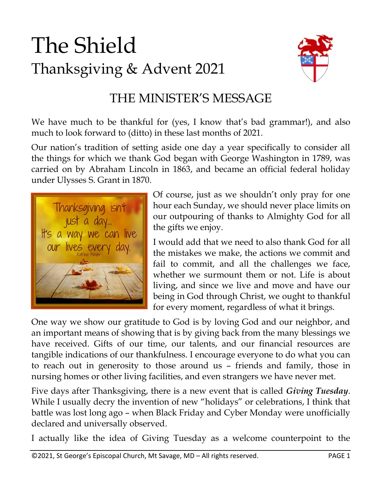# The Shield Thanksgiving & Advent 2021



#### THE MINISTER'S MESSAGE

We have much to be thankful for (yes, I know that's bad grammar!), and also much to look forward to (ditto) in these last months of 2021.

Our nation's tradition of setting aside one day a year specifically to consider all the things for which we thank God began with George Washington in 1789, was carried on by Abraham Lincoln in 1863, and became an official federal holiday under Ulysses S. Grant in 1870.



Of course, just as we shouldn't only pray for one hour each Sunday, we should never place limits on our outpouring of thanks to Almighty God for all the gifts we enjoy.

I would add that we need to also thank God for all the mistakes we make, the actions we commit and fail to commit, and all the challenges we face, whether we surmount them or not. Life is about living, and since we live and move and have our being in God through Christ, we ought to thankful for every moment, regardless of what it brings.

One way we show our gratitude to God is by loving God and our neighbor, and an important means of showing that is by giving back from the many blessings we have received. Gifts of our time, our talents, and our financial resources are tangible indications of our thankfulness. I encourage everyone to do what you can to reach out in generosity to those around us – friends and family, those in nursing homes or other living facilities, and even strangers we have never met.

Five days after Thanksgiving, there is a new event that is called *Giving Tuesday*. While I usually decry the invention of new "holidays" or celebrations, I think that battle was lost long ago – when Black Friday and Cyber Monday were unofficially declared and universally observed.

I actually like the idea of Giving Tuesday as a welcome counterpoint to the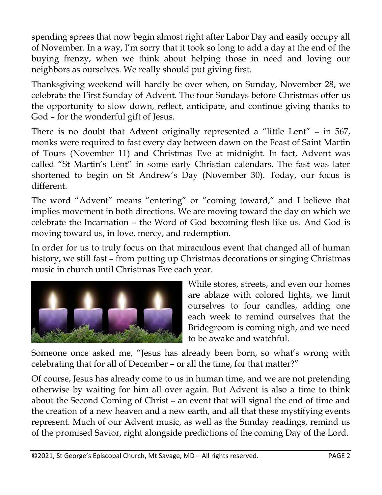spending sprees that now begin almost right after Labor Day and easily occupy all of November. In a way, I'm sorry that it took so long to add a day at the end of the buying frenzy, when we think about helping those in need and loving our neighbors as ourselves. We really should put giving first.

Thanksgiving weekend will hardly be over when, on Sunday, November 28, we celebrate the First Sunday of Advent. The four Sundays before Christmas offer us the opportunity to slow down, reflect, anticipate, and continue giving thanks to God – for the wonderful gift of Jesus.

There is no doubt that Advent originally represented a "little Lent" – in 567, monks were required to fast every day between dawn on the Feast of Saint Martin of Tours (November 11) and Christmas Eve at midnight. In fact, Advent was called "St Martin's Lent" in some early Christian calendars. The fast was later shortened to begin on St Andrew's Day (November 30). Today, our focus is different.

The word "Advent" means "entering" or "coming toward," and I believe that implies movement in both directions. We are moving toward the day on which we celebrate the Incarnation – the Word of God becoming flesh like us. And God is moving toward us, in love, mercy, and redemption.

In order for us to truly focus on that miraculous event that changed all of human history, we still fast – from putting up Christmas decorations or singing Christmas music in church until Christmas Eve each year.



While stores, streets, and even our homes are ablaze with colored lights, we limit ourselves to four candles, adding one each week to remind ourselves that the Bridegroom is coming nigh, and we need to be awake and watchful.

Someone once asked me, "Jesus has already been born, so what's wrong with celebrating that for all of December – or all the time, for that matter?"

Of course, Jesus has already come to us in human time, and we are not pretending otherwise by waiting for him all over again. But Advent is also a time to think about the Second Coming of Christ – an event that will signal the end of time and the creation of a new heaven and a new earth, and all that these mystifying events represent. Much of our Advent music, as well as the Sunday readings, remind us of the promised Savior, right alongside predictions of the coming Day of the Lord.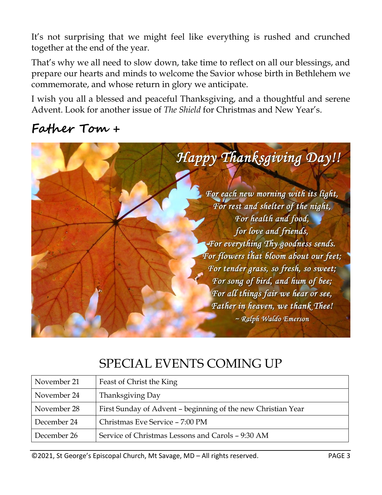It's not surprising that we might feel like everything is rushed and crunched together at the end of the year.

That's why we all need to slow down, take time to reflect on all our blessings, and prepare our hearts and minds to welcome the Savior whose birth in Bethlehem we commemorate, and whose return in glory we anticipate.

I wish you all a blessed and peaceful Thanksgiving, and a thoughtful and serene Advent. Look for another issue of *The Shield* for Christmas and New Year's.

#### **Father Tom +**



#### SPECIAL EVENTS COMING UP

| November 21 | Feast of Christ the King                                     |  |
|-------------|--------------------------------------------------------------|--|
| November 24 | Thanksgiving Day                                             |  |
| November 28 | First Sunday of Advent - beginning of the new Christian Year |  |
| December 24 | Christmas Eve Service - 7:00 PM                              |  |
| December 26 | Service of Christmas Lessons and Carols - 9:30 AM            |  |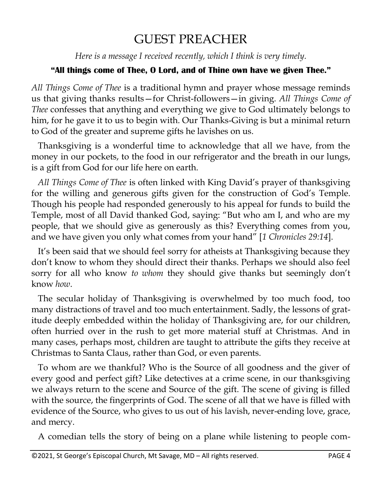#### GUEST PREACHER

*Here is a message I received recently, which I think is very timely.*

#### **"All things come of Thee, O Lord, and of Thine own have we given Thee."**

*All Things Come of Thee* is a traditional hymn and prayer whose message reminds us that giving thanks results—for Christ-followers—in giving. *All Things Come of Thee* confesses that anything and everything we give to God ultimately belongs to him, for he gave it to us to begin with. Our Thanks-Giving is but a minimal return to God of the greater and supreme gifts he lavishes on us.

 Thanksgiving is a wonderful time to acknowledge that all we have, from the money in our pockets, to the food in our refrigerator and the breath in our lungs, is a gift from God for our life here on earth.

 *All Things Come of Thee* is often linked with King David's prayer of thanksgiving for the willing and generous gifts given for the construction of God's Temple. Though his people had responded generously to his appeal for funds to build the Temple, most of all David thanked God, saying: "But who am I, and who are my people, that we should give as generously as this? Everything comes from you, and we have given you only what comes from your hand" [*1 Chronicles 29:14*].

 It's been said that we should feel sorry for atheists at Thanksgiving because they don't know to whom they should direct their thanks. Perhaps we should also feel sorry for all who know *to whom* they should give thanks but seemingly don't know *how*.

 The secular holiday of Thanksgiving is overwhelmed by too much food, too many distractions of travel and too much entertainment. Sadly, the lessons of gratitude deeply embedded within the holiday of Thanksgiving are, for our children, often hurried over in the rush to get more material stuff at Christmas. And in many cases, perhaps most, children are taught to attribute the gifts they receive at Christmas to Santa Claus, rather than God, or even parents.

 To whom are we thankful? Who is the Source of all goodness and the giver of every good and perfect gift? Like detectives at a crime scene, in our thanksgiving we always return to the scene and Source of the gift. The scene of giving is filled with the source, the fingerprints of God. The scene of all that we have is filled with evidence of the Source, who gives to us out of his lavish, never-ending love, grace, and mercy.

A comedian tells the story of being on a plane while listening to people com-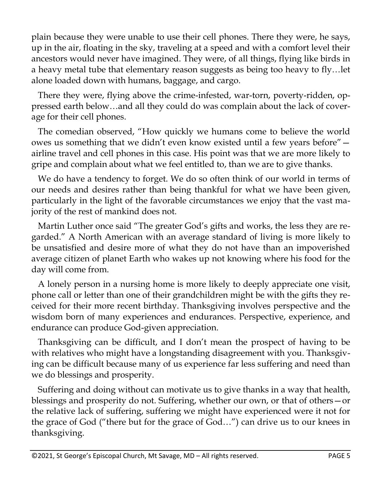plain because they were unable to use their cell phones. There they were, he says, up in the air, floating in the sky, traveling at a speed and with a comfort level their ancestors would never have imagined. They were, of all things, flying like birds in a heavy metal tube that elementary reason suggests as being too heavy to fly…let alone loaded down with humans, baggage, and cargo.

 There they were, flying above the crime-infested, war-torn, poverty-ridden, oppressed earth below…and all they could do was complain about the lack of coverage for their cell phones.

 The comedian observed, "How quickly we humans come to believe the world owes us something that we didn't even know existed until a few years before" airline travel and cell phones in this case. His point was that we are more likely to gripe and complain about what we feel entitled to, than we are to give thanks.

 We do have a tendency to forget. We do so often think of our world in terms of our needs and desires rather than being thankful for what we have been given, particularly in the light of the favorable circumstances we enjoy that the vast majority of the rest of mankind does not.

 Martin Luther once said "The greater God's gifts and works, the less they are regarded." A North American with an average standard of living is more likely to be unsatisfied and desire more of what they do not have than an impoverished average citizen of planet Earth who wakes up not knowing where his food for the day will come from.

 A lonely person in a nursing home is more likely to deeply appreciate one visit, phone call or letter than one of their grandchildren might be with the gifts they received for their more recent birthday. Thanksgiving involves perspective and the wisdom born of many experiences and endurances. Perspective, experience, and endurance can produce God-given appreciation.

 Thanksgiving can be difficult, and I don't mean the prospect of having to be with relatives who might have a longstanding disagreement with you. Thanksgiving can be difficult because many of us experience far less suffering and need than we do blessings and prosperity.

 Suffering and doing without can motivate us to give thanks in a way that health, blessings and prosperity do not. Suffering, whether our own, or that of others—or the relative lack of suffering, suffering we might have experienced were it not for the grace of God ("there but for the grace of God…") can drive us to our knees in thanksgiving.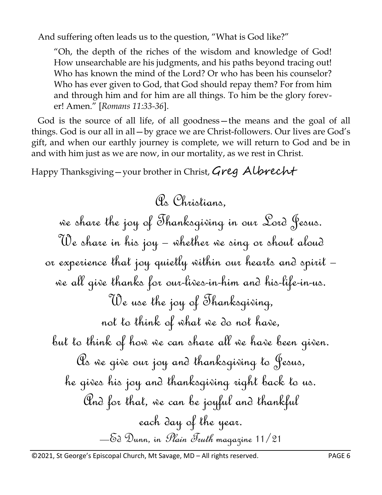And suffering often leads us to the question, "What is God like?"

"Oh, the depth of the riches of the wisdom and knowledge of God! How unsearchable are his judgments, and his paths beyond tracing out! Who has known the mind of the Lord? Or who has been his counselor? Who has ever given to God, that God should repay them? For from him and through him and for him are all things. To him be the glory forever! Amen." [*Romans 11:33-36*].

 God is the source of all life, of all goodness—the means and the goal of all things. God is our all in all—by grace we are Christ-followers. Our lives are God's gift, and when our earthly journey is complete, we will return to God and be in and with him just as we are now, in our mortality, as we rest in Christ.

Happy Thanksgiving - your brother in Christ, Greg Albrecht

As Christians, we share the joy of Thanksgiving in our Lord Jesus. We share in his joy – whether we sing or shout aloud or experience that joy quietly within our hearts and spirit – we all give thanks for our-lives-in-him and his-life-in-us. We use the joy of Thanksgiving, not to think of what we do not have, but to think of how we can share all we have been given. As we give our joy and thanksgiving to Jesus, he gives his joy and thanksgiving right back to us. And for that, we can be joyful and thankful each day of the year. —Ed Dunn, in Plain Truth magazine 11/21

©2021, St George's Episcopal Church, Mt Savage, MD – All rights reserved. PAGE 6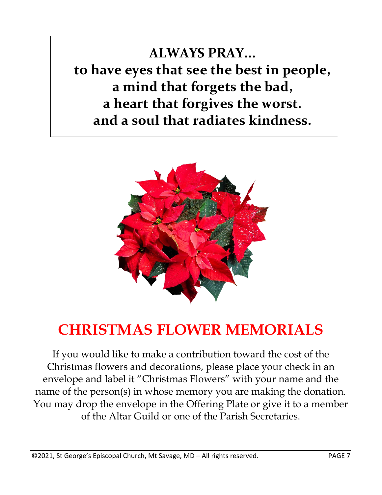**ALWAYS PRAY... to have eyes that see the best in people, a mind that forgets the bad, a heart that forgives the worst. and a soul that radiates kindness.**



## **CHRISTMAS FLOWER MEMORIALS**

If you would like to make a contribution toward the cost of the Christmas flowers and decorations, please place your check in an envelope and label it "Christmas Flowers" with your name and the name of the person(s) in whose memory you are making the donation. You may drop the envelope in the Offering Plate or give it to a member of the Altar Guild or one of the Parish Secretaries.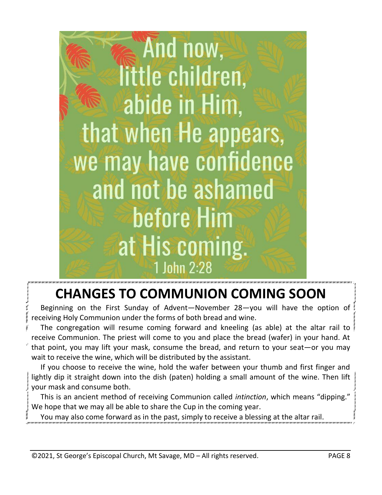

## **CHANGES TO COMMUNION COMING SOON**

 Beginning on the First Sunday of Advent—November 28—you will have the option of receiving Holy Communion under the forms of both bread and wine.

 The congregation will resume coming forward and kneeling (as able) at the altar rail to receive Communion. The priest will come to you and place the bread (wafer) in your hand. At that point, you may lift your mask, consume the bread, and return to your seat—or you may wait to receive the wine, which will be distributed by the assistant.

 If you choose to receive the wine, hold the wafer between your thumb and first finger and lightly dip it straight down into the dish (paten) holding a small amount of the wine. Then lift your mask and consume both.

 This is an ancient method of receiving Communion called *intinction*, which means "dipping." We hope that we may all be able to share the Cup in the coming year.

You may also come forward as in the past, simply to receive a blessing at the altar rail.

©2021, St George's Episcopal Church, Mt Savage, MD – All rights reserved. PAGE 8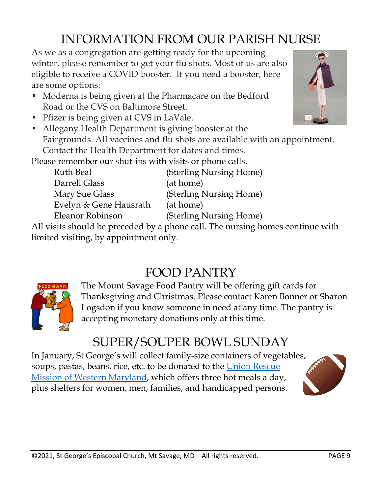## INFORMATION FROM OUR PARISH NURSE

As we as a congregation are getting ready for the upcoming winter, please remember to get your flu shots. Most of us are also eligible to receive a COVID booster. If you need a booster, here are some options:

- Moderna is being given at the Pharmacare on the Bedford Road or the CVS on Baltimore Street.
- Pfizer is being given at CVS in LaVale.
- Allegany Health Department is giving booster at the Fairgrounds. All vaccines and flu shots are available with an appointment. Contact the Health Department for dates and times.

Please remember our shut-ins with visits or phone calls.

| Ruth Beal                                               | (Sterling Nursing Home) |  |  |
|---------------------------------------------------------|-------------------------|--|--|
| Darrell Glass                                           | (at home)               |  |  |
| Mary Sue Glass                                          | (Sterling Nursing Home) |  |  |
| Evelyn & Gene Hausrath                                  | (at home)               |  |  |
| Eleanor Robinson                                        | (Sterling Nursing Home) |  |  |
| igits should be preseded by a phone sall. The purging h |                         |  |  |

All visits should be preceded by a phone call. The nursing homes continue with limited visiting, by appointment only.

### FOOD PANTRY



The Mount Savage Food Pantry will be offering gift cards for Thanksgiving and Christmas. Please contact Karen Bonner or Sharon Logsdon if you know someone in need at any time. The pantry is accepting monetary donations only at this time.

## SUPER/SOUPER BOWL SUNDAY

In January, St George's will collect family-size containers of vegetables, soups, pastas, beans, rice, etc. to be donated to the [Union Rescue](https://www.urmcumberland.org/)  [Mission of Western Maryland,](https://www.urmcumberland.org/) which offers three hot meals a day, plus shelters for women, men, families, and handicapped persons.



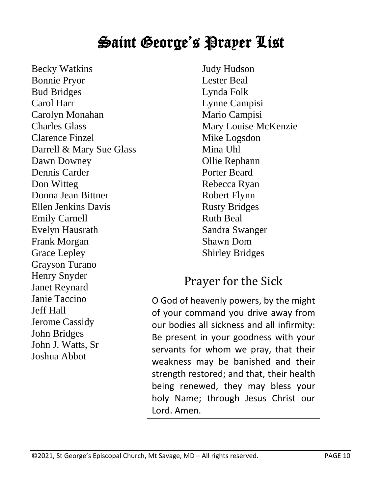## Saint George's Prayer List

Becky Watkins Bonnie Pryor Bud Bridges Carol Harr Carolyn Monahan Charles Glass Clarence Finzel Darrell & Mary Sue Glass Dawn Downey Dennis Carder Don Witteg Donna Jean Bittner Ellen Jenkins Davis Emily Carnell Evelyn Hausrath Frank Morgan Grace Lepley Grayson Turano Henry Snyder Janet Reynard Janie Taccino Jeff Hall Jerome Cassidy John Bridges John J. Watts, Sr Joshua Abbot

Judy Hudson Lester Beal Lynda Folk Lynne Campisi Mario Campisi Mary Louise McKenzie Mike Logsdon Mina Uhl Ollie Rephann Porter Beard Rebecca Ryan Robert Flynn Rusty Bridges Ruth Beal Sandra Swanger Shawn Dom Shirley Bridges

#### Prayer for the Sick

O God of heavenly powers, by the might of your command you drive away from our bodies all sickness and all infirmity: Be present in your goodness with your servants for whom we pray, that their weakness may be banished and their strength restored; and that, their health being renewed, they may bless your holy Name; through Jesus Christ our Lord. Amen.

©2021, St George's Episcopal Church, Mt Savage, MD – All rights reserved. PAGE 10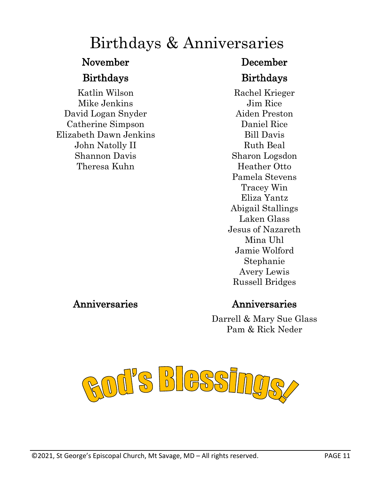## Birthdays & Anniversaries

Katlin Wilson Mike Jenkins David Logan Snyder Catherine Simpson Elizabeth Dawn Jenkins John Natolly II Shannon Davis Theresa Kuhn

#### November December

#### Birthdays Birthdays

Rachel Krieger Jim Rice Aiden Preston Daniel Rice Bill Davis Ruth Beal Sharon Logsdon Heather Otto Pamela Stevens Tracey Win Eliza Yantz Abigail Stallings Laken Glass Jesus of Nazareth Mina Uhl Jamie Wolford Stephanie Avery Lewis Russell Bridges

#### Anniversaries Anniversaries

Darrell & Mary Sue Glass Pam & Rick Neder